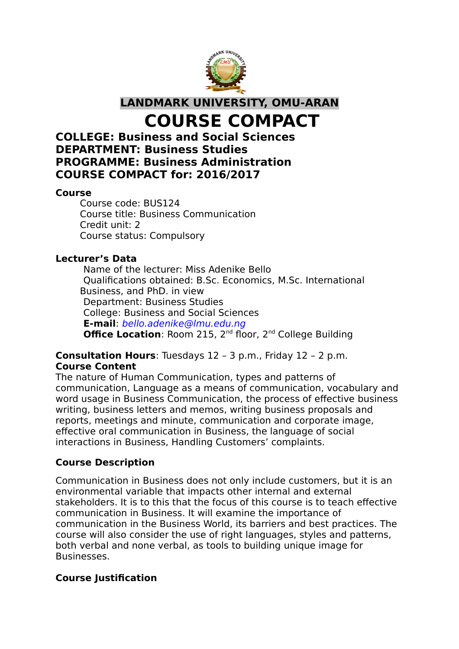

**LANDMARK UNIVERSITY, OMU-ARAN**

**COURSE COMPACT**

# **COLLEGE: Business and Social Sciences DEPARTMENT: Business Studies PROGRAMME: Business Administration COURSE COMPACT for: 2016/2017**

#### **Course**

Course code: BUS124 Course title: Business Communication Credit unit: 2 Course status: Compulsory

## **Lecturer's Data**

Name of the lecturer: Miss Adenike Bello Qualifications obtained: B.Sc. Economics, M.Sc. International Business, and PhD. in view Department: Business Studies College: Business and Social Sciences **E-mail**: bello.adenike@lmu.edu.ng **Office Location: Room 215, 2<sup>nd</sup> floor, 2<sup>nd</sup> College Building** 

## **Consultation Hours**: Tuesdays 12 – 3 p.m., Friday 12 – 2 p.m. **Course Content**

The nature of Human Communication, types and patterns of communication, Language as a means of communication, vocabulary and word usage in Business Communication, the process of effective business writing, business letters and memos, writing business proposals and reports, meetings and minute, communication and corporate image, effective oral communication in Business, the language of social interactions in Business, Handling Customers' complaints.

## **Course Description**

Communication in Business does not only include customers, but it is an environmental variable that impacts other internal and external stakeholders. It is to this that the focus of this course is to teach effective communication in Business. It will examine the importance of communication in the Business World, its barriers and best practices. The course will also consider the use of right languages, styles and patterns, both verbal and none verbal, as tools to building unique image for Businesses.

## **Course Justification**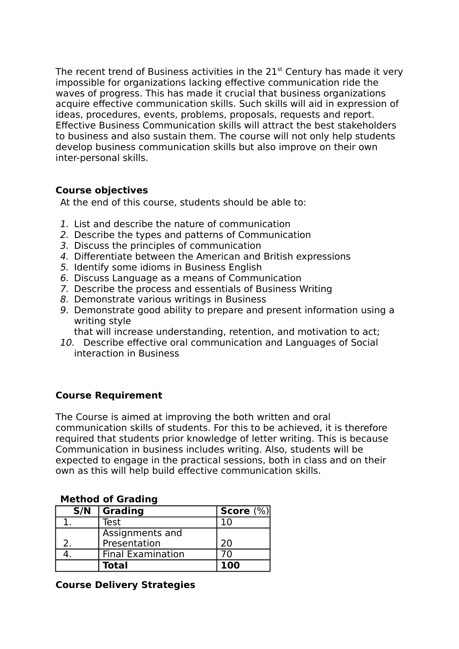The recent trend of Business activities in the  $21<sup>st</sup>$  Century has made it very impossible for organizations lacking effective communication ride the waves of progress. This has made it crucial that business organizations acquire effective communication skills. Such skills will aid in expression of ideas, procedures, events, problems, proposals, requests and report. Effective Business Communication skills will attract the best stakeholders to business and also sustain them. The course will not only help students develop business communication skills but also improve on their own inter-personal skills.

## **Course objectives**

At the end of this course, students should be able to:

- 1. List and describe the nature of communication
- 2. Describe the types and patterns of Communication
- 3. Discuss the principles of communication
- 4. Differentiate between the American and British expressions
- 5. Identify some idioms in Business English
- 6. Discuss Language as a means of Communication
- 7. Describe the process and essentials of Business Writing
- 8. Demonstrate various writings in Business
- 9. Demonstrate good ability to prepare and present information using a writing style

that will increase understanding, retention, and motivation to act;

10. Describe effective oral communication and Languages of Social interaction in Business

## **Course Requirement**

The Course is aimed at improving the both written and oral communication skills of students. For this to be achieved, it is therefore required that students prior knowledge of letter writing. This is because Communication in business includes writing. Also, students will be expected to engage in the practical sessions, both in class and on their own as this will help build effective communication skills.

## **Method of Grading**

| S/N | Grading                  | Score $(\%)$ |
|-----|--------------------------|--------------|
|     | Test                     |              |
|     | Assignments and          |              |
|     | Presentation             | 20           |
|     | <b>Final Examination</b> | ח 7          |
|     | <b>Total</b>             | <b>100</b>   |

## **Course Delivery Strategies**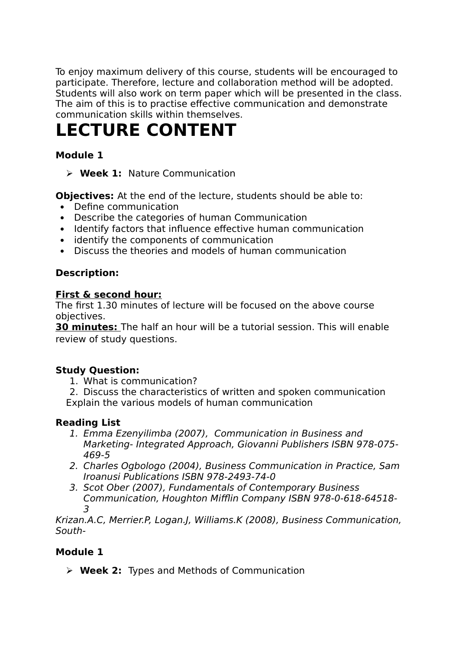To enjoy maximum delivery of this course, students will be encouraged to participate. Therefore, lecture and collaboration method will be adopted. Students will also work on term paper which will be presented in the class. The aim of this is to practise effective communication and demonstrate communication skills within themselves.

# **LECTURE CONTENT**

# **Module 1**

**Week 1:** Nature Communication

**Objectives:** At the end of the lecture, students should be able to:

- Define communication
- Describe the categories of human Communication
- Identify factors that influence effective human communication
- identify the components of communication
- Discuss the theories and models of human communication

## **Description:**

## **First & second hour:**

The first 1.30 minutes of lecture will be focused on the above course objectives.

**30 minutes:** The half an hour will be a tutorial session. This will enable review of study questions.

## **Study Question:**

- 1. What is communication?
- 2. Discuss the characteristics of written and spoken communication

Explain the various models of human communication

## **Reading List**

- 1. Emma Ezenyilimba (2007), Communication in Business and Marketing- Integrated Approach, Giovanni Publishers ISBN 978-075- 469-5
- 2. Charles Ogbologo (2004), Business Communication in Practice, Sam Iroanusi Publications ISBN 978-2493-74-0
- 3. Scot Ober (2007), Fundamentals of Contemporary Business Communication, Houghton Mifflin Company ISBN 978-0-618-64518- 3

Krizan.A.C, Merrier.P, Logan.J, Williams.K (2008), Business Communication, South-

## **Module 1**

**Week 2:** Types and Methods of Communication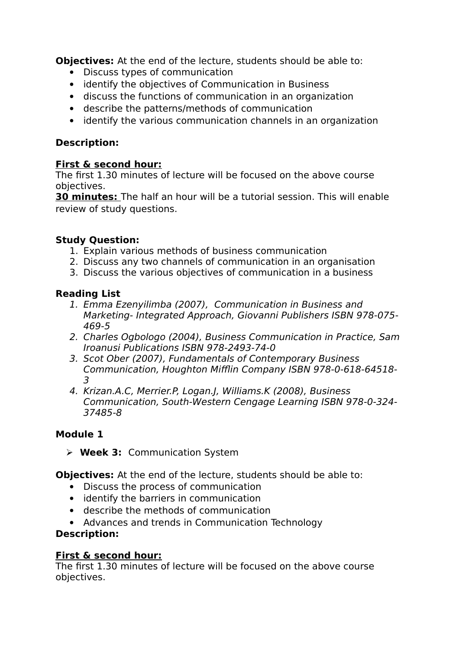**Objectives:** At the end of the lecture, students should be able to:

- Discuss types of communication
- identify the objectives of Communication in Business
- discuss the functions of communication in an organization
- describe the patterns/methods of communication
- identify the various communication channels in an organization

## **Description:**

## **First & second hour:**

The first 1.30 minutes of lecture will be focused on the above course objectives.

**30 minutes:** The half an hour will be a tutorial session. This will enable review of study questions.

## **Study Question:**

- 1. Explain various methods of business communication
- 2. Discuss any two channels of communication in an organisation
- 3. Discuss the various objectives of communication in a business

## **Reading List**

- 1. Emma Ezenyilimba (2007), Communication in Business and Marketing- Integrated Approach, Giovanni Publishers ISBN 978-075- 469-5
- 2. Charles Ogbologo (2004), Business Communication in Practice, Sam Iroanusi Publications ISBN 978-2493-74-0
- 3. Scot Ober (2007), Fundamentals of Contemporary Business Communication, Houghton Mifflin Company ISBN 978-0-618-64518- 3
- 4. Krizan.A.C, Merrier.P, Logan.J, Williams.K (2008), Business Communication, South-Western Cengage Learning ISBN 978-0-324- 37485-8

## **Module 1**

**Week 3:** Communication System

**Objectives:** At the end of the lecture, students should be able to:

- Discuss the process of communication
- identify the barriers in communication
- describe the methods of communication
- Advances and trends in Communication Technology

## **Description:**

## **First & second hour:**

The first 1.30 minutes of lecture will be focused on the above course objectives.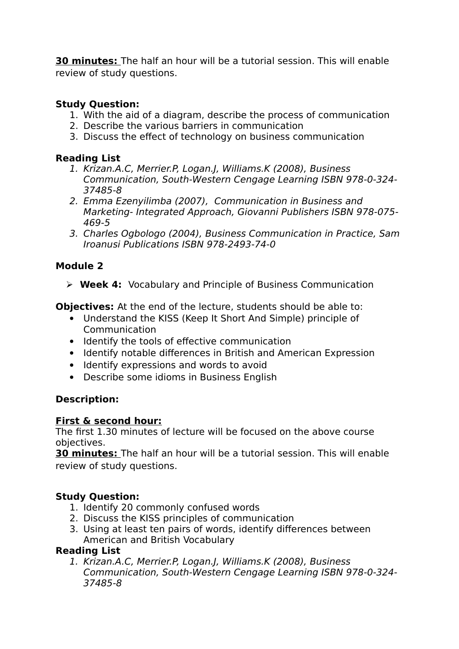**30 minutes:** The half an hour will be a tutorial session. This will enable review of study questions.

# **Study Question:**

- 1. With the aid of a diagram, describe the process of communication
- 2. Describe the various barriers in communication
- 3. Discuss the effect of technology on business communication

## **Reading List**

- 1. Krizan.A.C, Merrier.P, Logan.J, Williams.K (2008), Business Communication, South-Western Cengage Learning ISBN 978-0-324- 37485-8
- 2. Emma Ezenyilimba (2007), Communication in Business and Marketing- Integrated Approach, Giovanni Publishers ISBN 978-075- 469-5
- 3. Charles Ogbologo (2004), Business Communication in Practice, Sam Iroanusi Publications ISBN 978-2493-74-0

# **Module 2**

**Week 4:** Vocabulary and Principle of Business Communication

**Objectives:** At the end of the lecture, students should be able to:

- Understand the KISS (Keep It Short And Simple) principle of Communication
- Identify the tools of effective communication
- Identify notable differences in British and American Expression
- Identify expressions and words to avoid
- Describe some idioms in Business English

# **Description:**

## **First & second hour:**

The first 1.30 minutes of lecture will be focused on the above course objectives.

**30 minutes:** The half an hour will be a tutorial session. This will enable review of study questions.

# **Study Question:**

- 1. Identify 20 commonly confused words
- 2. Discuss the KISS principles of communication
- 3. Using at least ten pairs of words, identify differences between American and British Vocabulary

## **Reading List**

1. Krizan.A.C, Merrier.P, Logan.J, Williams.K (2008), Business Communication, South-Western Cengage Learning ISBN 978-0-324- 37485-8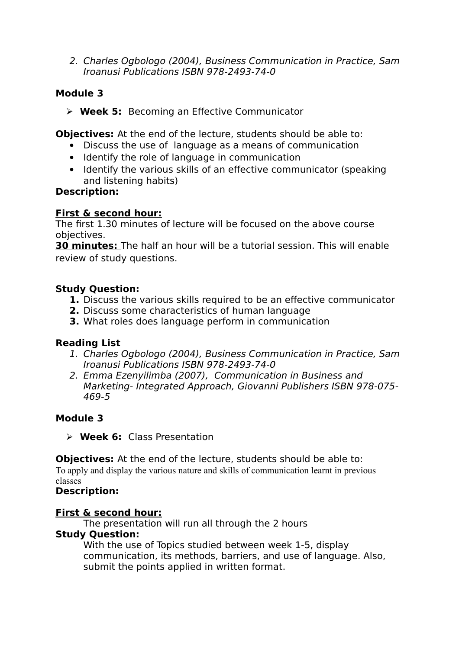2. Charles Ogbologo (2004), Business Communication in Practice, Sam Iroanusi Publications ISBN 978-2493-74-0

## **Module 3**

**Week 5:** Becoming an Effective Communicator

**Objectives:** At the end of the lecture, students should be able to:

- Discuss the use of language as a means of communication
- Identify the role of language in communication
- Identify the various skills of an effective communicator (speaking and listening habits)

## **Description:**

## **First & second hour:**

The first 1.30 minutes of lecture will be focused on the above course objectives.

**30 minutes:** The half an hour will be a tutorial session. This will enable review of study questions.

## **Study Question:**

- **1.** Discuss the various skills required to be an effective communicator
- **2.** Discuss some characteristics of human language
- **3.** What roles does language perform in communication

## **Reading List**

- 1. Charles Ogbologo (2004), Business Communication in Practice, Sam Iroanusi Publications ISBN 978-2493-74-0
- 2. Emma Ezenyilimba (2007), Communication in Business and Marketing- Integrated Approach, Giovanni Publishers ISBN 978-075- 469-5

# **Module 3**

**Week 6:** Class Presentation

**Objectives:** At the end of the lecture, students should be able to: To apply and display the various nature and skills of communication learnt in previous classes

# **Description:**

## **First & second hour:**

The presentation will run all through the 2 hours

## **Study Question:**

With the use of Topics studied between week 1-5, display communication, its methods, barriers, and use of language. Also, submit the points applied in written format.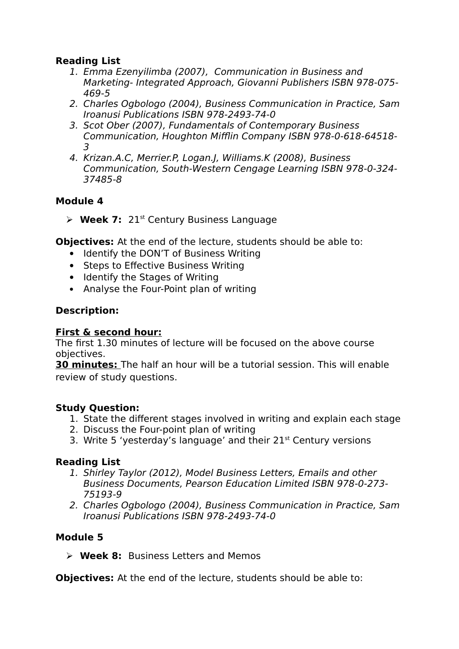## **Reading List**

- 1. Emma Ezenyilimba (2007), Communication in Business and Marketing- Integrated Approach, Giovanni Publishers ISBN 978-075- 469-5
- 2. Charles Ogbologo (2004), Business Communication in Practice, Sam Iroanusi Publications ISBN 978-2493-74-0
- 3. Scot Ober (2007), Fundamentals of Contemporary Business Communication, Houghton Mifflin Company ISBN 978-0-618-64518- 3
- 4. Krizan.A.C, Merrier.P, Logan.J, Williams.K (2008), Business Communication, South-Western Cengage Learning ISBN 978-0-324- 37485-8

## **Module 4**

 $\triangleright$  **Week 7:** 21<sup>st</sup> Century Business Language

**Objectives:** At the end of the lecture, students should be able to:

- Identify the DON'T of Business Writing
- Steps to Effective Business Writing
- Identify the Stages of Writing
- Analyse the Four-Point plan of writing

## **Description:**

## **First & second hour:**

The first 1.30 minutes of lecture will be focused on the above course objectives.

**30 minutes:** The half an hour will be a tutorial session. This will enable review of study questions.

## **Study Question:**

- 1. State the different stages involved in writing and explain each stage
- 2. Discuss the Four-point plan of writing
- 3. Write 5 'yesterday's language' and their  $21<sup>st</sup>$  Century versions

## **Reading List**

- 1. Shirley Taylor (2012), Model Business Letters, Emails and other Business Documents, Pearson Education Limited ISBN 978-0-273- 75193-9
- 2. Charles Ogbologo (2004), Business Communication in Practice, Sam Iroanusi Publications ISBN 978-2493-74-0

## **Module 5**

**Week 8:** Business Letters and Memos

**Objectives:** At the end of the lecture, students should be able to: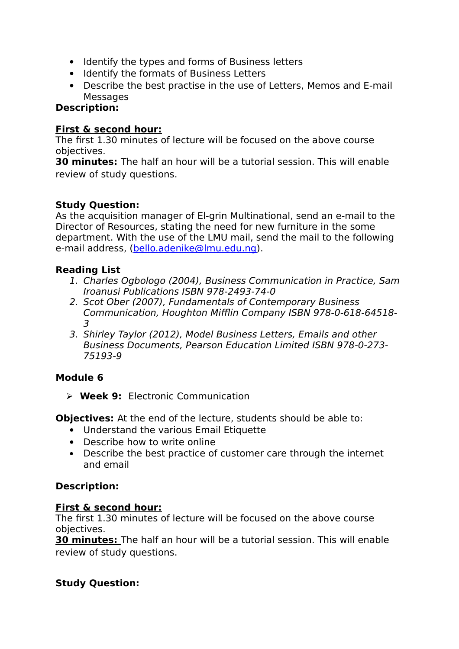- Identify the types and forms of Business letters
- Identify the formats of Business Letters
- Describe the best practise in the use of Letters, Memos and E-mail Messages

## **Description:**

## **First & second hour:**

The first 1.30 minutes of lecture will be focused on the above course objectives.

**30 minutes:** The half an hour will be a tutorial session. This will enable review of study questions.

## **Study Question:**

As the acquisition manager of El-grin Multinational, send an e-mail to the Director of Resources, stating the need for new furniture in the some department. With the use of the LMU mail, send the mail to the following e-mail address, [\(bello.adenike@lmu.edu.ng\)](mailto:bello.adenike@lmu.edu.ng).

## **Reading List**

- 1. Charles Ogbologo (2004), Business Communication in Practice, Sam Iroanusi Publications ISBN 978-2493-74-0
- 2. Scot Ober (2007), Fundamentals of Contemporary Business Communication, Houghton Mifflin Company ISBN 978-0-618-64518- 3
- 3. Shirley Taylor (2012), Model Business Letters, Emails and other Business Documents, Pearson Education Limited ISBN 978-0-273- 75193-9

## **Module 6**

**Week 9:** Electronic Communication

**Objectives:** At the end of the lecture, students should be able to:

- Understand the various Email Etiquette
- Describe how to write online
- Describe the best practice of customer care through the internet and email

## **Description:**

## **First & second hour:**

The first 1.30 minutes of lecture will be focused on the above course objectives.

**30 minutes:** The half an hour will be a tutorial session. This will enable review of study questions.

## **Study Question:**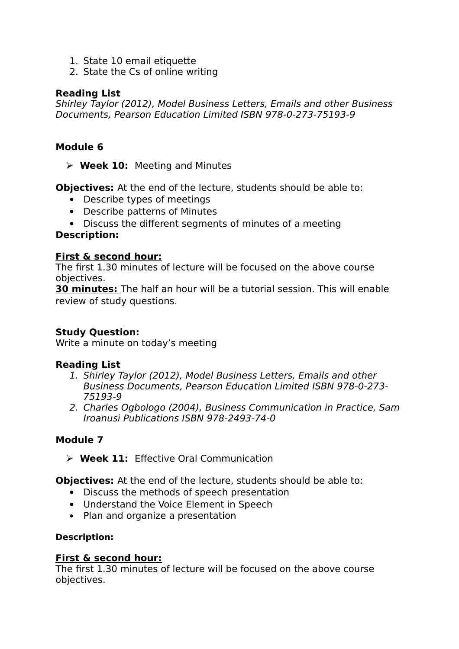- 1. State 10 email etiquette
- 2. State the Cs of online writing

## **Reading List**

Shirley Taylor (2012), Model Business Letters, Emails and other Business Documents, Pearson Education Limited ISBN 978-0-273-75193-9

## **Module 6**

**Week 10:** Meeting and Minutes

**Objectives:** At the end of the lecture, students should be able to:

- Describe types of meetings
- Describe patterns of Minutes
- Discuss the different segments of minutes of a meeting

## **Description:**

## **First & second hour:**

The first 1.30 minutes of lecture will be focused on the above course objectives.

**30 minutes:** The half an hour will be a tutorial session. This will enable review of study questions.

## **Study Question:**

Write a minute on today's meeting

## **Reading List**

- 1. Shirley Taylor (2012), Model Business Letters, Emails and other Business Documents, Pearson Education Limited ISBN 978-0-273- 75193-9
- 2. Charles Ogbologo (2004), Business Communication in Practice, Sam Iroanusi Publications ISBN 978-2493-74-0

## **Module 7**

**Week 11:** Effective Oral Communication

**Objectives:** At the end of the lecture, students should be able to:

- Discuss the methods of speech presentation
- Understand the Voice Element in Speech
- Plan and organize a presentation

## **Description:**

## **First & second hour:**

The first 1.30 minutes of lecture will be focused on the above course objectives.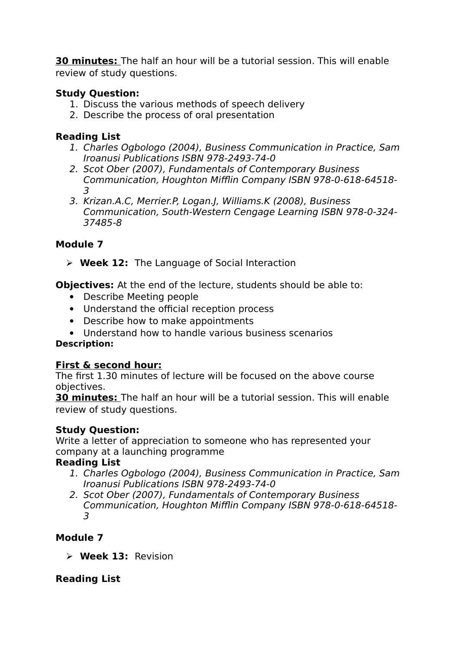**30 minutes:** The half an hour will be a tutorial session. This will enable review of study questions.

# **Study Question:**

- 1. Discuss the various methods of speech delivery
- 2. Describe the process of oral presentation

## **Reading List**

- 1. Charles Ogbologo (2004), Business Communication in Practice, Sam Iroanusi Publications ISBN 978-2493-74-0
- 2. Scot Ober (2007), Fundamentals of Contemporary Business Communication, Houghton Mifflin Company ISBN 978-0-618-64518- 3
- 3. Krizan.A.C, Merrier.P, Logan.J, Williams.K (2008), Business Communication, South-Western Cengage Learning ISBN 978-0-324- 37485-8

# **Module 7**

**Week 12:** The Language of Social Interaction

**Objectives:** At the end of the lecture, students should be able to:

- Describe Meeting people
- Understand the official reception process
- Describe how to make appointments
- Understand how to handle various business scenarios

## **Description:**

## **First & second hour:**

The first 1.30 minutes of lecture will be focused on the above course objectives.

**30 minutes:** The half an hour will be a tutorial session. This will enable review of study questions.

## **Study Question:**

Write a letter of appreciation to someone who has represented your company at a launching programme

## **Reading List**

- 1. Charles Ogbologo (2004), Business Communication in Practice, Sam Iroanusi Publications ISBN 978-2493-74-0
- 2. Scot Ober (2007), Fundamentals of Contemporary Business Communication, Houghton Mifflin Company ISBN 978-0-618-64518- 3

# **Module 7**

**Week 13:** Revision

## **Reading List**